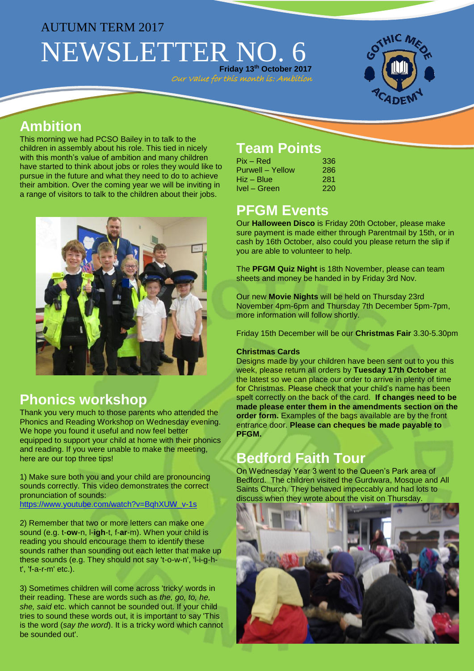# AUTUMN TERM 2017 NEWSLETTER NO. 6

**Friday 13th October 2017** Our Value for this month is: Ambition



### **Ambition**

This morning we had PCSO Bailey in to talk to the children in assembly about his role. This tied in nicely with this month's value of ambition and many children have started to think about jobs or roles they would like to pursue in the future and what they need to do to achieve their ambition. Over the coming year we will be inviting in a range of visitors to talk to the children about their jobs.



#### **Phonics workshop**

Thank you very much to those parents who attended the Phonics and Reading Workshop on Wednesday evening. We hope you found it useful and now feel better equipped to support your child at home with their phonics and reading. If you were unable to make the meeting, here are our top three tips!

1) Make sure both you and your child are pronouncing sounds correctly. This video demonstrates the correct pronunciation of sounds: [https://www.youtube.com/watch?v=BqhXUW\\_v-1s](https://www.youtube.com/watch?v=BqhXUW_v-1s%20)

2) Remember that two or more letters can make one sound (e.g. t-**ow**-n, l-**igh**-t, f-**ar**-m). When your child is reading you should encourage them to identify these sounds rather than sounding out each letter that make up these sounds (e.g. They should not say 't-o-w-n', 'l-i-g-ht', 'f-a-r-m' etc.).

3) Sometimes children will come across 'tricky' words in their reading. These are words such as *the, go, to, he, she, said* etc. which cannot be sounded out. If your child tries to sound these words out, it is important to say 'This is the word (*say the word*). It is a tricky word which cannot be sounded out'.

# **Team Points**

| Pix – Red        | 336 |
|------------------|-----|
| Purwell – Yellow | 286 |
| Hiz – Blue       | 281 |
| Ivel - Green     | 220 |

#### **PFGM Events**

Our **Halloween Disco** is Friday 20th October, please make sure payment is made either through Parentmail by 15th, or in cash by 16th October, also could you please return the slip if you are able to volunteer to help.

The **PFGM Quiz Night** is 18th November, please can team sheets and money be handed in by Friday 3rd Nov.

Our new **Movie Nights** will be held on Thursday 23rd November 4pm-6pm and Thursday 7th December 5pm-7pm, more information will follow shortly.

Friday 15th December will be our **Christmas Fair** 3.30-5.30pm

#### **Christmas Cards**

Designs made by your children have been sent out to you this week, please return all orders by **Tuesday 17th October** at the latest so we can place our order to arrive in plenty of time for Christmas. Please check that your child's name has been spelt correctly on the back of the card. **If changes need to be made please enter them in the amendments section on the order form.** Examples of the bags available are by the front entrance door. **Please can cheques be made payable to PFGM.**

## **Bedford Faith Tour**

On Wednesday Year 3 went to the Queen's Park area of Bedford. The children visited the Gurdwara, Mosque and All Saints Church. They behaved impeccably and had lots to discuss when they wrote about the visit on Thursday.